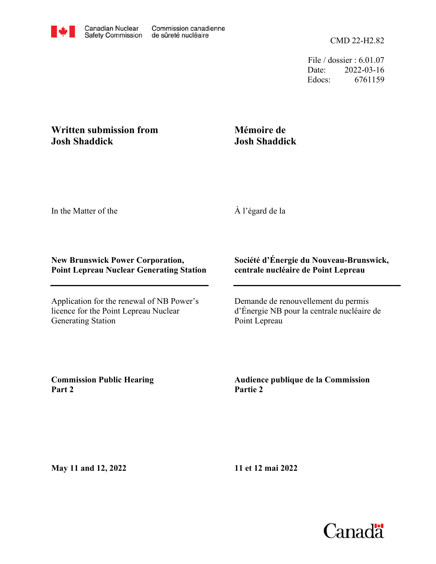File / dossier : 6.01.07 Date: 2022-03-16 Edocs: 6761159

## **Written submission from Josh Shaddick**

## **Mémoire de Josh Shaddick**

In the Matter of the

À l'égard de la

## **New Brunswick Power Corporation, Point Lepreau Nuclear Generating Station**

Application for the renewal of NB Power's licence for the Point Lepreau Nuclear Generating Station

## **Société d'Énergie du Nouveau-Brunswick, centrale nucléaire de Point Lepreau**

Demande de renouvellement du permis d'Énergie NB pour la centrale nucléaire de Point Lepreau

**Commission Public Hearing Part 2**

**Audience publique de la Commission Partie 2**

**May 11 and 12, 2022**

**11 et 12 mai 2022**